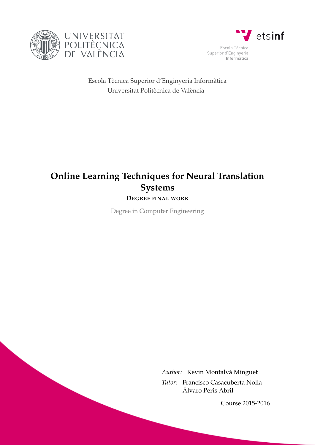



Escola Tècnica Superior d'Enginyeria Informàtica Universitat Politècnica de València

# **Online Learning Techniques for Neural Translation Systems**

**DEGREE FINAL WORK**

Degree in Computer Engineering

*Author:* Kevin Montalvá Minguet *Tutor:* Francisco Casacuberta Nolla Álvaro Peris Abril

Course 2015-2016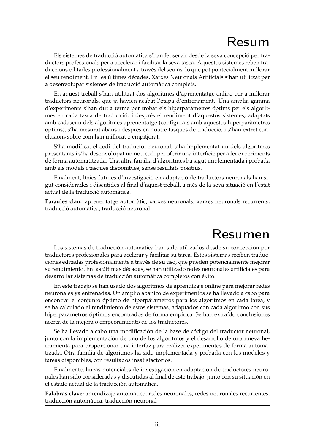### Resum

Els sistemes de traducció automàtica s'han fet servir desde la seva concepció per traductors professionals per a accelerar i facilitar la seva tasca. Aquestos sistemes reben traduccions editades professionalment a través del seu ús, lo que pot pontecialment millorar el seu rendiment. En les últimes décades, Xarxes Neuronals Artificials s'han utilitzat per a desenvolupar sistemes de traducció automàtica complets.

En aquest treball s'han utilitzat dos algoritmes d'aprenentatge online per a millorar traductors neuronals, que ja havien acabat l'etapa d'entrenament. Una amplia gamma d'experiments s'han dut a terme per trobar els hiperparàmetres óptims per els algoritmes en cada tasca de traducció, i després el rendiment d'aquestos sistemes, adaptats amb cadascun dels algoritmes aprenentatge (configurats amb aquestos hiperparàmetres óptims), s'ha mesurat abans i després en quatre tasques de traducció, i s'han extret conclusions sobre com han millorat o empitjorat.

S'ha modificat el codi del traductor neuronal, s'ha implementat un dels algoritmes presentants i s'ha desenvolupat un nou codi per oferir una interfície per a fer experiments de forma automatitzada. Una altra familia d'algoritmes ha sigut implementada i probada amb els models i tasques disponibles, sense resultats positius.

Finalment, línies futures d'investigació en adaptació de traductors neuronals han sigut considerades i discutides al final d'aquest treball, a més de la seva situació en l'estat actual de la traducció automàtica.

**Paraules clau:** aprenentatge automàtic, xarxes neuronals, xarxes neuronals recurrents, traducció automàtica, traducció neuronal

## Resumen

Los sistemas de traducción automática han sido utilizados desde su concepción por traductores profesionales para acelerar y facilitar su tarea. Estos sistemas reciben traducciones editadas profesionalmente a través de su uso, que pueden potencialmente mejorar su rendimiento. En las últimas décadas, se han utilizado redes neuronales artificiales para desarrollar sistemas de traducción automática completos con éxito.

En este trabajo se han usado dos algoritmos de aprendizaje online para mejorar redes neuronales ya entrenadas. Un amplio abanico de experimentos se ha llevado a cabo para encontrar el conjunto óptimo de hiperpárametros para los algoritmos en cada tarea, y se ha calculado el rendimiento de estos sistemas, adaptados con cada algoritmo con sus hiperparámetros óptimos encontrados de forma empírica. Se han extraído conclusiones acerca de la mejora o empeoramiento de los traductores.

Se ha llevado a cabo una modificación de la base de código del traductor neuronal, junto con la implementación de uno de los algoritmos y el desarrollo de una nueva herramienta para proporcionar una interfaz para realizer experimentos de forma automatizada. Otra familia de algoritmos ha sido implementada y probada con los modelos y tareas disponibles, con resultados insatisfactorios.

Finalmente, líneas potenciales de investigación en adaptación de traductores neuronales han sido consideradas y discutidas al final de este trabajo, junto con su situación en el estado actual de la traducción automática.

**Palabras clave:** aprendizaje automático, redes neuronales, redes neuronales recurrentes, traducción automática, traducción neuronal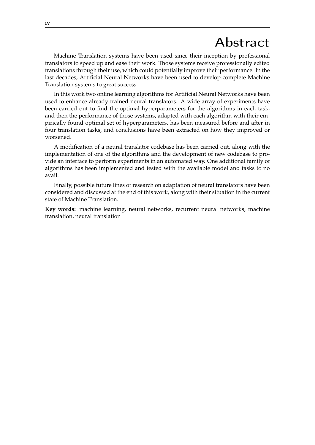### Abstract

Machine Translation systems have been used since their inception by professional translators to speed up and ease their work. Those systems receive professionally edited translations through their use, which could potentially improve their performance. In the last decades, Artificial Neural Networks have been used to develop complete Machine Translation systems to great success.

In this work two online learning algorithms for Artificial Neural Networks have been used to enhance already trained neural translators. A wide array of experiments have been carried out to find the optimal hyperparameters for the algorithms in each task, and then the performance of those systems, adapted with each algorithm with their empirically found optimal set of hyperparameters, has been measured before and after in four translation tasks, and conclusions have been extracted on how they improved or worsened.

A modification of a neural translator codebase has been carried out, along with the implementation of one of the algorithms and the development of new codebase to provide an interface to perform experiments in an automated way. One additional family of algorithms has been implemented and tested with the available model and tasks to no avail.

Finally, possible future lines of research on adaptation of neural translators have been considered and discussed at the end of this work, along with their situation in the current state of Machine Translation.

**Key words:** machine learning, neural networks, recurrent neural networks, machine translation, neural translation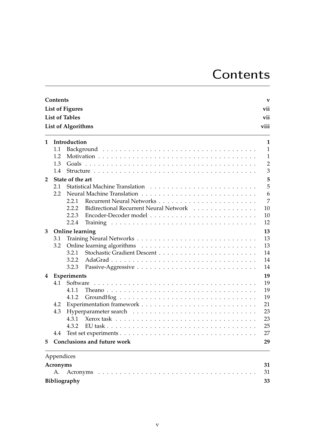## **Contents**

<span id="page-4-0"></span>

|                | Contents<br><b>List of Figures</b>                                                                         | V<br>vii       |
|----------------|------------------------------------------------------------------------------------------------------------|----------------|
|                | <b>List of Tables</b>                                                                                      | vii            |
|                | <b>List of Algorithms</b>                                                                                  | viii           |
| 1              | Introduction                                                                                               | 1              |
|                | 1.1                                                                                                        | $\mathbf{1}$   |
|                | 1.2                                                                                                        | $\mathbf{1}$   |
|                | 1.3                                                                                                        | $\overline{2}$ |
|                | 1.4                                                                                                        | 3              |
| $\overline{2}$ | State of the art                                                                                           | 5              |
|                | 2.1                                                                                                        | 5              |
|                | 2.2                                                                                                        | 6              |
|                | 2.2.1                                                                                                      | 7              |
|                | Bidirectional Recurrent Neural Network<br>2.2.2                                                            | 10             |
|                | 2.2.3                                                                                                      | 10             |
|                | 2.2.4                                                                                                      | 12             |
| 3              | <b>Online learning</b>                                                                                     | 13             |
|                | 3.1                                                                                                        | 13             |
|                | 3.2                                                                                                        | 13             |
|                | 3.2.1                                                                                                      | 14             |
|                | 3.2.2                                                                                                      | 14             |
|                | 3.2.3                                                                                                      | 14             |
| 4              | Experiments                                                                                                | 19             |
|                | Software<br>4.1                                                                                            | 19             |
|                | 4.1.1<br>The ano $\ldots \ldots \ldots \ldots \ldots \ldots \ldots \ldots \ldots \ldots \ldots \ldots$     | 19             |
|                | 4.1.2                                                                                                      | 19             |
|                | 4.2                                                                                                        | 21             |
|                | 4.3                                                                                                        | 23             |
|                | Xerox task $\ldots \ldots \ldots \ldots \ldots \ldots \ldots \ldots \ldots \ldots \ldots \ldots$<br>4.3.1  | 23             |
|                | 4.3.2                                                                                                      | 25             |
|                | Test set experiments $\ldots \ldots \ldots \ldots \ldots \ldots \ldots \ldots \ldots \ldots \ldots$<br>4.4 | 27             |
| 5              | <b>Conclusions and future work</b>                                                                         | 29             |
|                | Appendices                                                                                                 |                |
|                | <b>Acronyms</b>                                                                                            | 31             |
|                | A.                                                                                                         | 31             |
|                | <b>Bibliography</b>                                                                                        | 33             |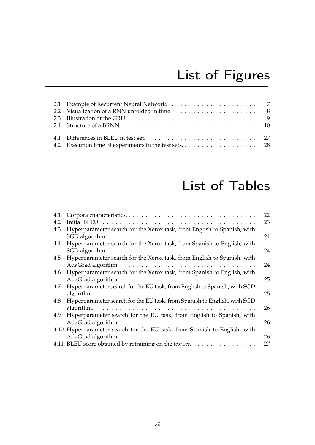# List of Figures

<span id="page-6-0"></span>

# List of Tables

<span id="page-6-1"></span>

| 4.1 |                                                                           | 22 |
|-----|---------------------------------------------------------------------------|----|
| 4.2 |                                                                           | 23 |
| 4.3 | Hyperparameter search for the Xerox task, from English to Spanish, with   |    |
|     |                                                                           | 24 |
| 4.4 | Hyperparameter search for the Xerox task, from Spanish to English, with   |    |
|     |                                                                           | 24 |
| 4.5 | Hyperparameter search for the Xerox task, from English to Spanish, with   |    |
|     |                                                                           | 24 |
| 4.6 | Hyperparameter search for the Xerox task, from Spanish to English, with   |    |
|     |                                                                           | 25 |
| 4.7 | Hyperparameter search for the EU task, from English to Spanish, with SGD  |    |
|     |                                                                           | 25 |
| 4.8 | Hyperparameter search for the EU task, from Spanish to English, with SGD  |    |
|     |                                                                           | 26 |
| 4.9 | Hyperparameter search for the EU task, from English to Spanish, with      |    |
|     |                                                                           | 26 |
|     | 4.10 Hyperparameter search for the EU task, from Spanish to English, with |    |
|     |                                                                           | 26 |
|     | 4.11 BLEU score obtained by retraining on the test set.                   | 27 |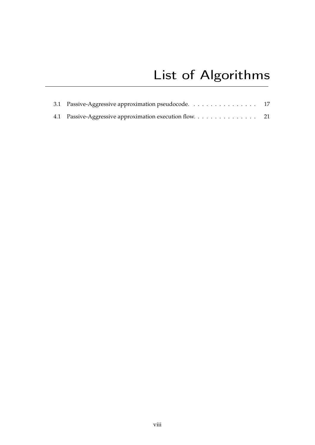# List of Algorithms

<span id="page-7-0"></span>

| 3.1 Passive-Aggressive approximation pseudocode. 17 |  |
|-----------------------------------------------------|--|
|                                                     |  |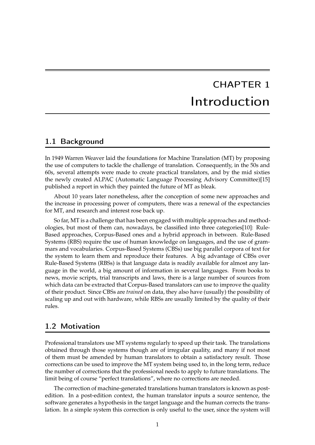## CHAPTER 1 Introduction

#### <span id="page-8-1"></span><span id="page-8-0"></span>1.1 Background

In 1949 Warren Weaver laid the foundations for [Machine Translation \(MT\)](#page-38-2) by proposing the use of computers to tackle the challenge of translation. Consequently, in the 50s and 60s, several attempts were made to create practical translators, and by the mid sixties the newly created ALPAC (Automatic Language Processing Advisory Committee)[\[15\]](#page-41-0) published a report in which they painted the future of [MT](#page-38-2) as bleak.

About 10 years later nonetheless, after the conception of some new approaches and the increase in processing power of computers, there was a renewal of the expectancies for [MT,](#page-38-2) and research and interest rose back up.

So far, [MT](#page-38-2) is a challenge that has been engaged with multiple approaches and methodologies, but most of them can, nowadays, be classified into three categories[\[10\]](#page-40-1): Rule-Based approaches, Corpus-Based ones and a hybrid approach in between. Rule-Based Systems (RBS) require the use of human knowledge on languages, and the use of grammars and vocabularies. [Corpus-Based Systems \(CBSs\)](#page-38-3) use big parallel corpora of text for the system to learn them and reproduce their features. A big advantage of [CBSs](#page-38-3) over [Rule-Based Systems \(RBSs\)](#page-38-4) is that language data is readily available for almost any language in the world, a big amount of information in several languages. From books to news, movie scripts, trial transcripts and laws, there is a large number of sources from which data can be extracted that Corpus-Based translators can use to improve the quality of their product. Since [CBSs](#page-38-3) are *trained* on data, they also have (usually) the possibility of scaling up and out with hardware, while [RBSs](#page-38-4) are usually limited by the quality of their rules.

### <span id="page-8-2"></span>1.2 Motivation

Professional translators use [MT](#page-38-2) systems regularly to speed up their task. The translations obtained through those systems though are of irregular quality, and many if not most of them must be amended by human translators to obtain a satisfactory result. Those corrections can be used to improve the [MT](#page-38-2) system being used to, in the long term, reduce the number of corrections that the professional needs to apply to future translations. The limit being of course "perfect translations", where no corrections are needed.

The correction of machine-generated translations human translators is known as postedition. In a post-edition context, the human translator inputs a source sentence, the software generates a hypothesis in the target language and the human corrects the translation. In a simple system this correction is only useful to the user, since the system will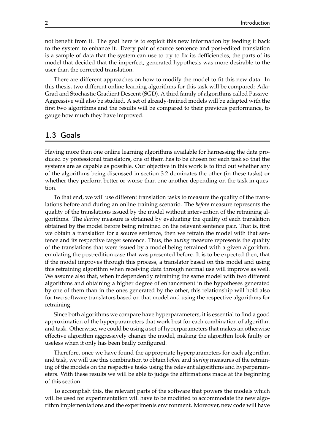not benefit from it. The goal here is to exploit this new information by feeding it back to the system to enhance it. Every pair of source sentence and post-edited translation is a sample of data that the system can use to try to fix its defficiencies, the parts of its model that decided that the imperfect, generated hypothesis was more desirable to the user than the corrected translation.

There are different approaches on how to modify the model to fit this new data. In this thesis, two different online learning algorithms for this task will be compared: Ada-Grad and [Stochastic Gradient Descent \(SGD\).](#page-38-5) A third family of algorithms called Passive-Aggressive will also be studied. A set of already-trained models will be adapted with the first two algorithms and the results will be compared to their previous performance, to gauge how much they have improved.

#### <span id="page-9-0"></span>1.3 Goals

Having more than one online learning algorithms available for harnessing the data produced by professional translators, one of them has to be chosen for each task so that the systems are as capable as possible. Our objective in this work is to find out whether any of the algorithms being discussed in section [3.2](#page-20-2) dominates the other (in these tasks) or whether they perform better or worse than one another depending on the task in question.

To that end, we will use different translation tasks to measure the quality of the translations before and during an online training scenario. The *before* measure represents the quality of the translations issued by the model without intervention of the retraining algorithms. The *during* measure is obtained by evaluating the quality of each translation obtained by the model before being retrained on the relevant sentence pair. That is, first we obtain a translation for a source sentence, then we retrain the model with that sentence and its respective target sentence. Thus, the *during* measure represents the quality of the translations that were issued by a model being retrained with a given algorithm, emulating the post-edition case that was presented before. It is to be expected then, that if the model improves through this process, a translator based on this model and using this retraining algorithm when receiving data through normal use will improve as well. We assume also that, when independently retraining the same model with two different algorithms and obtaining a higher degree of enhancement in the hypotheses generated by one of them than in the ones generated by the other, this relationship will hold also for two software translators based on that model and using the respective algorithms for retraining.

Since both algorithms we compare have hyperparameters, it is essential to find a good approximation of the hyperparameters that work best for each combination of algorithm and task. Otherwise, we could be using a set of hyperparameters that makes an otherwise effective algorithm aggressively change the model, making the algorithm look faulty or useless when it only has been badly configured.

Therefore, once we have found the appropriate hyperparameters for each algorithm and task, we will use this combination to obtain *before* and *during* measures of the retraining of the models on the respective tasks using the relevant algorithms and hyperparameters. With these results we will be able to judge the affirmations made at the beginning of this section.

To accomplish this, the relevant parts of the software that powers the models which will be used for experimentation will have to be modified to accommodate the new algorithm implementations and the experiments environment. Moreover, new code will have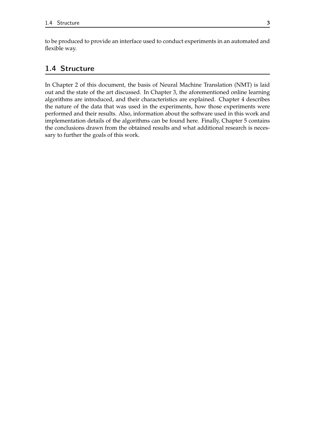to be produced to provide an interface used to conduct experiments in an automated and flexible way.

#### <span id="page-10-0"></span>1.4 Structure

In Chapter [2](#page-12-0) of this document, the basis of [Neural Machine Translation \(NMT\)](#page-38-6) is laid out and the state of the art discussed. In Chapter [3,](#page-20-0) the aforementioned online learning algorithms are introduced, and their characteristics are explained. Chapter [4](#page-26-0) describes the nature of the data that was used in the experiments, how those experiments were performed and their results. Also, information about the software used in this work and implementation details of the algorithms can be found here. Finally, Chapter [5](#page-36-0) contains the conclusions drawn from the obtained results and what additional research is necessary to further the goals of this work.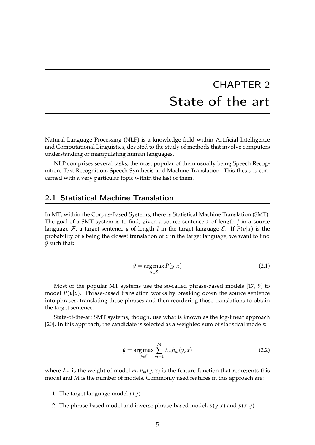## CHAPTER 2 State of the art

<span id="page-12-0"></span>[Natural Language Processing \(NLP\)](#page-38-7) is a knowledge field within Artificial Intelligence and Computational Linguistics, devoted to the study of methods that involve computers understanding or manipulating human languages.

[NLP](#page-38-7) comprises several tasks, the most popular of them usually being Speech Recognition, Text Recognition, Speech Synthesis and Machine Translation. This thesis is concerned with a very particular topic within the last of them.

#### <span id="page-12-1"></span>2.1 Statistical Machine Translation

In [MT,](#page-38-2) within the Corpus-Based Systems, there is [Statistical Machine Translation \(SMT\).](#page-38-8) The goal of a [SMT](#page-38-8) system is to find, given a source sentence *x* of length *J* in a source language F, a target sentence *y* of length *I* in the target language E. If  $P(y|x)$  is the probability of  $\gamma$  being the closest translation of  $\chi$  in the target language, we want to find  $\hat{y}$  such that:

<span id="page-12-2"></span>
$$
\hat{y} = \underset{y \in \mathcal{E}}{\arg \max} P(y|x) \tag{2.1}
$$

Most of the popular [MT](#page-38-2) systems use the so-called phrase-based models [\[17,](#page-41-1) [9\]](#page-40-2) to model  $P(y|x)$ . Phrase-based translation works by breaking down the source sentence into phrases, translating those phrases and then reordering those translations to obtain the target sentence.

State-of-the-art [SMT](#page-38-8) systems, though, use what is known as the log-linear approach [\[20\]](#page-41-2). In this approach, the candidate is selected as a weighted sum of statistical models:

$$
\hat{y} = \underset{y \in \mathcal{E}}{\arg \max} \sum_{m=1}^{M} \lambda_m h_m(y, x) \tag{2.2}
$$

where  $\lambda_m$  is the weight of model *m*,  $h_m(y, x)$  is the feature function that represents this model and *M* is the number of models. Commonly used features in this approach are:

- 1. The target language model  $p(y)$ .
- 2. The phrase-based model and inverse phrase-based model,  $p(y|x)$  and  $p(x|y)$ .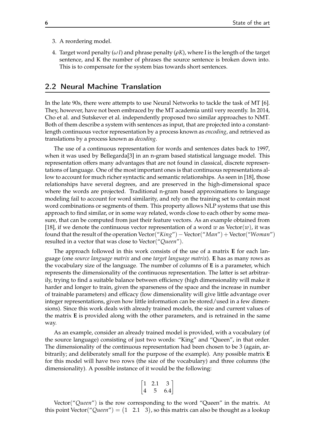- 3. A reordering model.
- 4. Target word penalty (*ωI*) and phrase penalty (*ρK*), where I is the length of the target sentence, and K the number of phrases the source sentence is broken down into. This is to compensate for the system bias towards short sentences.

#### <span id="page-13-0"></span>2.2 Neural Machine Translation

In the late 90s, there were attempts to use Neural Networks to tackle the task of [MT](#page-38-2) [\[6\]](#page-40-3). They, however, have not been embraced by the [MT](#page-38-2) academia until very recently. In 2014, Cho et al. and Sutskever et al. independently proposed two similar approaches to [NMT.](#page-38-6) Both of them describe a system with sentences as input, that are projected into a constantlength continuous vector representation by a process known as *encoding*, and retrieved as translations by a process known as *decoding*.

The use of a continuous representation for words and sentences dates back to 1997, when it was used by Bellegarda[\[3\]](#page-40-4) in an n-gram based statistical language model. This representation offers many advantages that are not found in classical, discrete representations of language. One of the most important ones is that continuous representations allow to account for much richer syntactic and semantic relationships. As seen in [\[18\]](#page-41-3), those relationships have several degrees, and are preserved in the high-dimensional space where the words are projected. Traditional n-gram based approximations to language modeling fail to account for word similarity, and rely on the training set to contain most word combinations or segments of them. This property allows [NLP](#page-38-7) systems that use this approach to find similar, or in some way related, words close to each other by some measure, that can be computed from just their feature vectors. As an example obtained from [\[18\]](#page-41-3), if we denote the continuous vector representation of a word *w* as Vector(*w*), it was found that the result of the operation Vector("*King*") −Vector("*Man*") +Vector("*Woman*") resulted in a vector that was close to Vector("*Queen*").

The approach followed in this work consists of the use of a matrix **E** for each language (one *source language matrix* and one *target language matrix*). **E** has as many rows as the vocabulary size of the language. The number of columns of **E** is a parameter, which represents the dimensionality of the continuous representation. The latter is set arbitrarily, trying to find a suitable balance between efficiency (high dimensionality will make it harder and longer to train, given the sparseness of the space and the increase in number of trainable parameters) and efficacy (low dimensionality will give little advantage over integer representations, given how little information can be stored/used in a few dimensions). Since this work deals with already trained models, the size and current values of the matrix **E** is provided along with the other parameters, and is retrained in the same way.

As an example, consider an already trained model is provided, with a vocabulary (of the source language) consisting of just two words: "King" and "Queen", in that order. The dimensionality of the continuous representation had been chosen to be 3 (again, arbitrarily; and deliberately small for the purpose of the example). Any possible matrix **E** for this model will have two rows (the size of the vocabulary) and three columns (the dimensionality). A possible instance of it would be the following:

$$
\begin{bmatrix} 1 & 2.1 & 3 \\ 4 & 5 & 6.4 \end{bmatrix}
$$

Vector("*Queen*") is the row corresponding to the word "Queen" in the matrix. At this point Vector("*Queen*") =  $(1 \t2.1 \t3)$ , so this matrix can also be thought as a lookup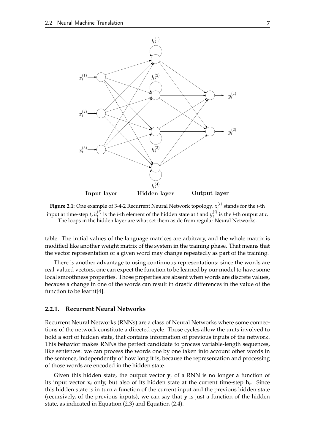<span id="page-14-1"></span>

**Figure 2.1:** One example of 3-4-2 Recurrent Neural Network topology.  $x_t^{(i)}$  $t_i^{(i)}$  stands for the *i*-th input at time-step *t*,  $h_t^{(i)}$  $y_t^{(i)}$  is the *i*-th element of the hidden state at *t* and  $y_t^{(i)}$  $t_i^{(t)}$  is the *i*-th output at *t*. The loops in the hidden layer are what set them aside from regular Neural Networks.

table. The initial values of the language matrices are arbitrary, and the whole matrix is modified like another weight matrix of the system in the training phase. That means that the vector representation of a given word may change repeatedly as part of the training.

There is another advantage to using continuous representations: since the words are real-valued vectors, one can expect the function to be learned by our model to have some local smoothness properties. Those properties are absent when words are discrete values, because a change in one of the words can result in drastic differences in the value of the function to be learnt[\[4\]](#page-40-5).

#### <span id="page-14-0"></span>**2.2.1. Recurrent Neural Networks**

[Recurrent Neural Networks \(RNNs\)](#page-38-9) are a class of Neural Networks where some connections of the network constitute a directed cycle. Those cycles allow the units involved to hold a sort of hidden state, that contains information of previous inputs of the network. This behavior makes [RNNs](#page-38-9) the perfect candidate to process variable-length sequences, like sentences: we can process the words one by one taken into account other words in the sentence, independently of how long it is, because the representation and processing of those words are encoded in the hidden state.

Given this hidden state, the output vector  $\mathbf{y}_t$  of a [RNN](#page-38-9) is no longer a function of its input vector  $\mathbf{x}_t$  only, but also of its hidden state at the current time-step  $\mathbf{h}_t$ . Since this hidden state is in turn a function of the current input and the previous hidden state (recursively, of the previous inputs), we can say that **y** is just a function of the hidden state, as indicated in Equation [\(2.3\)](#page-15-1) and Equation [\(2.4\)](#page-15-2).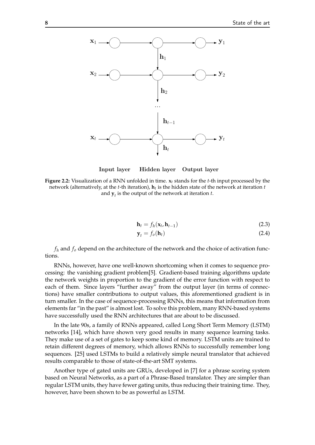<span id="page-15-0"></span>

Input layer Hidden layer Output layer

**Figure 2.2:** Visualization of a [RNN](#page-38-9) unfolded in time. **x***<sup>t</sup>* stands for the *t*-th input processed by the network (alternatively, at the *t*-th iteration), **h***<sup>t</sup>* is the hidden state of the network at iteration *t* and **y***<sup>t</sup>* is the output of the network at iteration *t*.

$$
\mathbf{h}_t = f_h(\mathbf{x}_t, \mathbf{h}_{t-1})
$$
\n(2.3)

<span id="page-15-2"></span><span id="page-15-1"></span>
$$
\mathbf{y}_t = f_o(\mathbf{h}_t) \tag{2.4}
$$

*f<sup>h</sup>* and *f<sup>o</sup>* depend on the architecture of the network and the choice of activation functions.

[RNNs,](#page-38-9) however, have one well-known shortcoming when it comes to sequence processing: the vanishing gradient problem[\[5\]](#page-40-6). Gradient-based training algorithms update the network weights in proportion to the gradient of the error function with respect to each of them. Since layers "further away" from the output layer (in terms of connections) have smaller contributions to output values, this aforementioned gradient is in turn smaller. In the case of sequence-processing [RNNs,](#page-38-9) this means that information from elements far "in the past" is almost lost. To solve this problem, many [RNN-](#page-38-9)based systems have successfully used the [RNN](#page-38-9) architectures that are about to be discussed.

In the late 90s, a family of [RNNs](#page-38-9) appeared, called [Long Short Term Memory \(LSTM\)](#page-38-10) networks [\[14\]](#page-41-4), which have shown very good results in many sequence learning tasks. They make use of a set of gates to keep some kind of memory. [LSTM](#page-38-10) units are trained to retain different degrees of memory, which allows [RNNs](#page-38-9) to successfully remember long sequences. [\[25\]](#page-41-5) used [LSTMs](#page-38-10) to build a relatively simple neural translator that achieved results comparable to those of state-of-the-art [SMT](#page-38-8) systems.

Another type of gated units are [GRUs,](#page-38-11) developed in [\[7\]](#page-40-7) for a phrase scoring system based on Neural Networks, as a part of a Phrase-Based translator. They are simpler than regular [LSTM](#page-38-10) units, they have fewer gating units, thus reducing their training time. They, however, have been shown to be as powerful as [LSTM.](#page-38-10)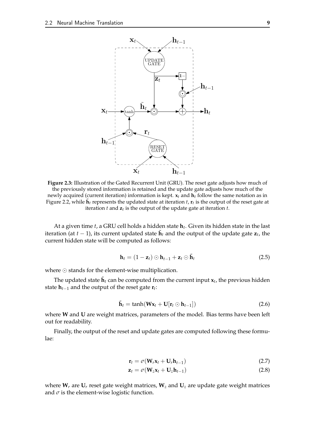<span id="page-16-0"></span>

**Figure 2.3:** Illustration of the [Gated Recurrent Unit \(GRU\).](#page-38-11) The reset gate adjusts how much of the previously stored information is retained and the update gate adjusts how much of the newly acquired (current iteration) information is kept. **x***t* and **h***t* follow the same notation as in Figure [2.2,](#page-15-0) while  $\tilde{\mathbf{h}}_t$  represents the updated state at iteration  $t$ ,  $\mathbf{r}_t$  is the output of the reset gate at iteration *t* and **z***<sup>t</sup>* is the output of the update gate at iteration *t*.

At a given time *t*, a [GRU](#page-38-11) cell holds a hidden state **h***<sup>t</sup>* . Given its hidden state in the last iteration (at  $t - 1$ ), its current updated state  $\tilde{\mathbf{h}}_t$  and the output of the update gate  $\mathbf{z}_t$ , the current hidden state will be computed as follows:

$$
\mathbf{h}_t = (1 - \mathbf{z}_t) \odot \mathbf{h}_{t-1} + \mathbf{z}_t \odot \tilde{\mathbf{h}}_t \tag{2.5}
$$

where  $\odot$  stands for the element-wise multiplication.

The updated state  $\tilde{\mathbf{h}}_t$  can be computed from the current input  $\mathbf{x}_t$ , the previous hidden state **h***t*−<sup>1</sup> and the output of the reset gate **r***<sup>t</sup>* :

$$
\tilde{\mathbf{h}}_t = \tanh(\mathbf{W}\mathbf{x}_t + \mathbf{U}[\mathbf{r}_t \odot \mathbf{h}_{t-1}]) \tag{2.6}
$$

where **W** and **U** are weight matrices, parameters of the model. Bias terms have been left out for readability.

Finally, the output of the reset and update gates are computed following these formulae:

$$
\mathbf{r}_t = \sigma(\mathbf{W}_r \mathbf{x}_t + \mathbf{U}_r \mathbf{h}_{t-1}) \tag{2.7}
$$

$$
\mathbf{z}_t = \sigma(\mathbf{W}_z \mathbf{x}_t + \mathbf{U}_z \mathbf{h}_{t-1}) \tag{2.8}
$$

where  $W_r$  are  $U_r$  reset gate weight matrices,  $W_z$  and  $U_z$  are update gate weight matrices and  $\sigma$  is the element-wise logistic function.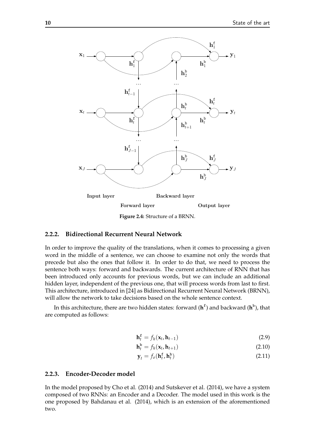<span id="page-17-2"></span>

**Figure 2.4:** Structure of a BRNN.

#### <span id="page-17-0"></span>**2.2.2. Bidirectional Recurrent Neural Network**

In order to improve the quality of the translations, when it comes to processing a given word in the middle of a sentence, we can choose to examine not only the words that precede but also the ones that follow it. In order to do that, we need to process the sentence both ways: forward and backwards. The current architecture of [RNN](#page-38-9) that has been introduced only accounts for previous words, but we can include an additional hidden layer, independent of the previous one, that will process words from last to first. This architecture, introduced in [\[24\]](#page-41-6) as [Bidirectional Recurrent Neural Network \(BRNN\),](#page-38-12) will allow the network to take decisions based on the whole sentence context.

In this architecture, there are two hidden states: forward ( $h^f$ ) and backward ( $h^b$ ), that are computed as follows:

$$
\mathbf{h}_t^{\mathbf{f}} = f_h(\mathbf{x}_t, \mathbf{h}_{t-1})
$$
\n(2.9)

$$
\mathbf{h}_t^{\mathsf{b}} = f_h(\mathbf{x}_t, \mathbf{h}_{t+1})
$$
\n(2.10)

$$
\mathbf{y}_t = f_o(\mathbf{h}_t^{\mathbf{f}}, \mathbf{h}_t^{\mathbf{b}}) \tag{2.11}
$$

#### <span id="page-17-1"></span>**2.2.3. Encoder-Decoder model**

In the model proposed by Cho et al. (2014) and Sutskever et al. (2014), we have a system composed of two [RNNs:](#page-38-9) an Encoder and a Decoder. The model used in this work is the one proposed by Bahdanau et al. (2014), which is an extension of the aforementioned two.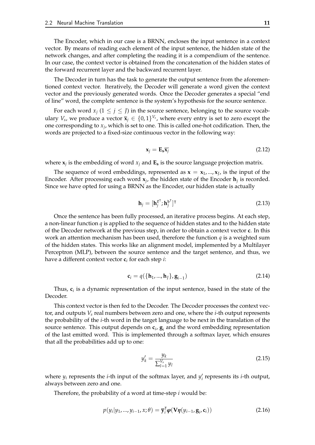The Encoder, which in our case is a [BRNN,](#page-38-12) encloses the input sentence in a context vector. By means of reading each element of the input sentence, the hidden state of the network changes, and after completing the reading it is a compendium of the sentence. In our case, the context vector is obtained from the concatenation of the hidden states of the forward recurrent layer and the backward recurrent layer.

The Decoder in turn has the task to generate the output sentence from the aforementioned context vector. Iteratively, the Decoder will generate a word given the context vector and the previously generated words. Once the Decoder generates a special "end of line" word, the complete sentence is the system's hypothesis for the source sentence.

For each word  $x_j$  ( $1 \leq j \leq J$ ) in the source sentence, belonging to the source vocabulary  $V_s$ , we produce a vector  $\bar{\mathbf{x}}_j \in \{0,1\}^{V_s}$ , where every entry is set to zero except the one corresponding to *x<sup>j</sup>* , which is set to one. This is called one-hot codification. Then, the words are projected to a fixed-size continuous vector in the following way:

$$
\mathbf{x}_j = \mathbf{E}_s \overline{\mathbf{x}_j} \tag{2.12}
$$

where  $\mathbf{x}_j$  is the embedding of word  $x_j$  and  $\mathbf{E}_s$  is the source language projection matrix.

The sequence of word embeddings, represented as  $\mathbf{x} = \mathbf{x}_1, \dots, \mathbf{x}_J$ , is the input of the Encoder. After processing each word **x***<sup>j</sup>* , the hidden state of the Encoder **h***<sup>j</sup>* is recorded. Since we have opted for using a [BRNN](#page-38-12) as the Encoder, our hidden state is actually

$$
\mathbf{h}_{j} = [\mathbf{h}_{j}^{\text{f}}^{T}; \mathbf{h}_{j}^{\text{b}}]^{\text{T}}
$$
\n(2.13)

Once the sentence has been fully processed, an iterative process begins. At each step, a non-linear function *q* is applied to the sequence of hidden states and to the hidden state of the Decoder network at the previous step, in order to obtain a context vector **c**. In this work an attention mechanism has been used, therefore the function *q* is a weighted sum of the hidden states. This works like an alignment model, implemented by a [Multilayer](#page-38-13) [Perceptron \(MLP\),](#page-38-13) between the source sentence and the target sentence, and thus, we have a different context vector **c***<sup>i</sup>* for each step *i*:

$$
\mathbf{c}_i = q(\{\mathbf{h}_1, ..., \mathbf{h}_J\}, \mathbf{g}_{i-1})
$$
\n(2.14)

Thus,  $c_i$  is a dynamic representation of the input sentence, based in the state of the Decoder.

This context vector is then fed to the Decoder. The Decoder processes the context vector, and outputs *V<sup>s</sup>* real numbers between zero and one, where the *i*-th output represents the probability of the *i*-th word in the target language to be next in the translation of the source sentence. This output depends on  $\mathbf{c}_i$ ,  $\mathbf{g}_i$  and the word embedding representation of the last emitted word. This is implemented through a softmax layer, which ensures that all the probabilities add up to one:

$$
y'_k = \frac{y_k}{\sum_{l=1}^{V_s} y_l}
$$
\n(2.15)

where  $y_i$  represents the *i*-th input of the softmax layer, and  $y_i$  represents its *i*-th output, always between zero and one.

Therefore, the probability of a word at time-step *i* would be:

$$
p(y_i|y_1,...,y_{i-1},x;\theta) = \overline{\mathbf{y}}_i^{\mathsf{T}} \boldsymbol{\varphi}(\mathbf{V}\boldsymbol{\eta}(y_{i-1},\mathbf{g}_i,\mathbf{c}_i))
$$
\n(2.16)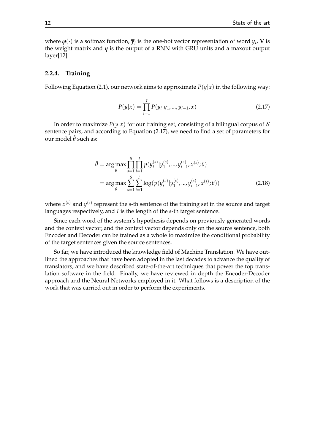where  $\boldsymbol{\varphi}(\cdot)$  is a softmax function,  $\bar{y}_i$  is the one-hot vector representation of word  $y_i$ , **V** is the weight matrix and *η* is the output of a [RNN](#page-38-9) with GRU units and a maxout output layer[\[12\]](#page-40-8).

#### <span id="page-19-0"></span>**2.2.4. Training**

<span id="page-19-1"></span>Following Equation [\(2.1\)](#page-12-2), our network aims to approximate  $P(y|x)$  in the following way:

<span id="page-19-2"></span>
$$
P(y|x) = \prod_{i=1}^{I} P(y_i|y_1, ..., y_{i-1}, x)
$$
\n(2.17)

In order to maximize  $P(y|x)$  for our training set, consisting of a bilingual corpus of S sentence pairs, and according to Equation [\(2.17\)](#page-19-1), we need to find a set of parameters for our model ˆ*θ* such as:

$$
\hat{\theta} = \underset{\theta}{\arg \max} \prod_{s=1}^{S} \prod_{i=1}^{I} p(y_i^{(s)} | y_1^{(s)}, ..., y_{i-1}^{(s)}, x^{(s)}; \theta)
$$

$$
= \underset{\theta}{\arg \max} \sum_{s=1}^{S} \sum_{i=1}^{I} \log(p(y_i^{(s)} | y_1^{(s)}, ..., y_{i-1}^{(s)}, x^{(s)}; \theta))
$$
(2.18)

where  $x^{(s)}$  and  $y^{(s)}$  represent the *s*-th sentence of the training set in the source and target languages respectively, and *I* is the length of the *s*-th target sentence.

Since each word of the system's hypothesis depends on previously generated words and the context vector, and the context vector depends only on the source sentence, both Encoder and Decoder can be trained as a whole to maximize the conditional probability of the target sentences given the source sentences.

So far, we have introduced the knowledge field of Machine Translation. We have outlined the approaches that have been adopted in the last decades to advance the quality of translators, and we have described state-of-the-art techniques that power the top translation software in the field. Finally, we have reviewed in depth the Encoder-Decoder approach and the Neural Networks employed in it. What follows is a description of the work that was carried out in order to perform the experiments.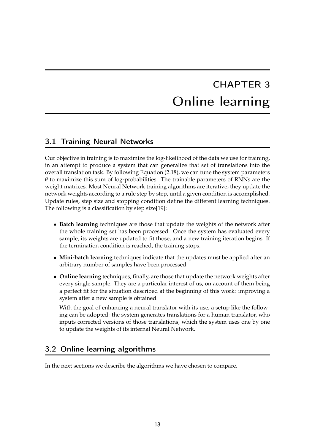# CHAPTER 3 Online learning

### <span id="page-20-1"></span><span id="page-20-0"></span>3.1 Training Neural Networks

Our objective in training is to maximize the log-likelihood of the data we use for training, in an attempt to produce a system that can generalize that set of translations into the overall translation task. By following Equation [\(2.18\)](#page-19-2), we can tune the system parameters *θ* to maximize this sum of log-probabilities. The trainable parameters of [RNNs](#page-38-9) are the weight matrices. Most Neural Network training algorithms are iterative, they update the network weights according to a rule step by step, until a given condition is accomplished. Update rules, step size and stopping condition define the different learning techniques. The following is a classification by step size[\[19\]](#page-41-7):

- **Batch learning** techniques are those that update the weights of the network after the whole training set has been processed. Once the system has evaluated every sample, its weights are updated to fit those, and a new training iteration begins. If the termination condition is reached, the training stops.
- **Mini-batch learning** techniques indicate that the updates must be applied after an arbitrary number of samples have been processed.
- **Online learning** techniques, finally, are those that update the network weights after every single sample. They are a particular interest of us, on account of them being a perfect fit for the situation described at the beginning of this work: improving a system after a new sample is obtained.

With the goal of enhancing a neural translator with its use, a setup like the following can be adopted: the system generates translations for a human translator, who inputs corrected versions of those translations, which the system uses one by one to update the weights of its internal Neural Network.

### <span id="page-20-2"></span>3.2 Online learning algorithms

In the next sections we describe the algorithms we have chosen to compare.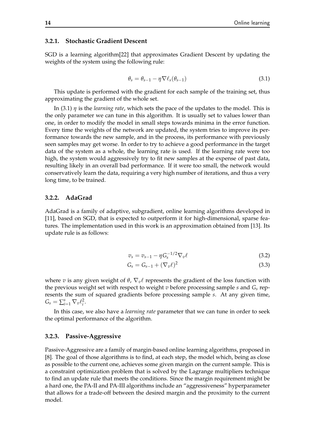#### <span id="page-21-0"></span>**3.2.1. Stochastic Gradient Descent**

<span id="page-21-3"></span>[SGD](#page-38-5) is a learning algorithm[\[22\]](#page-41-8) that approximates Gradient Descent by updating the weights of the system using the following rule:

$$
\theta_s = \theta_{s-1} - \eta \nabla \ell_s(\theta_{s-1})
$$
\n(3.1)

This update is performed with the gradient for each sample of the training set, thus approximating the gradient of the whole set.

In [\(3.1\)](#page-21-3) *η* is the *learning rate*, which sets the pace of the updates to the model. This is the only parameter we can tune in this algorithm. It is usually set to values lower than one, in order to modify the model in small steps towards minima in the error function. Every time the weights of the network are updated, the system tries to improve its performance towards the new sample, and in the process, its performance with previously seen samples may get worse. In order to try to achieve a good performance in the target data of the system as a whole, the learning rate is used. If the learning rate were too high, the system would aggressively try to fit new samples at the expense of past data, resulting likely in an overall bad performance. If it were too small, the network would conservatively learn the data, requiring a very high number of iterations, and thus a very long time, to be trained.

#### <span id="page-21-1"></span>**3.2.2. AdaGrad**

AdaGrad is a family of adaptive, subgradient, online learning algorithms developed in [\[11\]](#page-40-9), based on [SGD,](#page-38-5) that is expected to outperform it for high-dimensional, sparse features. The implementation used in this work is an approximation obtained from [\[13\]](#page-41-9). Its update rule is as follows:

<span id="page-21-4"></span>
$$
v_s = v_{s-1} - \eta G_s^{-1/2} \nabla_v \ell \tag{3.2}
$$

$$
G_s = G_{s-1} + (\nabla_v \ell)^2
$$
\n(3.3)

where *v* is any given weight of  $\theta$ ,  $\nabla_{v}\ell$  represents the gradient of the loss function with the previous weight set with respect to weight  $v$  before processing sample  $s$  and  $G_s$  represents the sum of squared gradients before processing sample *s*. At any given time,  $G_s = \sum_{i=1}^s \nabla_v \ell_i^2$ .

In this case, we also have a *learning rate* parameter that we can tune in order to seek the optimal performance of the algorithm.

#### <span id="page-21-2"></span>**3.2.3. Passive-Aggressive**

Passive-Aggressive are a family of margin-based online learning algorithms, proposed in [\[8\]](#page-40-10). The goal of those algorithms is to find, at each step, the model which, being as close as possible to the current one, achieves some given margin on the current sample. This is a constraint optimization problem that is solved by the Lagrange multipliers technique to find an update rule that meets the conditions. Since the margin requirement might be a hard one, the PA-II and PA-III algorithms include an "aggressiveness" hyperparameter that allows for a trade-off between the desired margin and the proximity to the current model.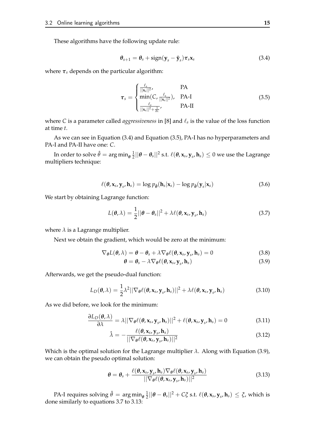<span id="page-22-0"></span>These algorithms have the following update rule:

$$
\boldsymbol{\theta}_{s+1} = \boldsymbol{\theta}_s + \text{sign}(\mathbf{y}_s - \hat{\mathbf{y}}_s) \boldsymbol{\tau}_s \mathbf{x}_s \tag{3.4}
$$

<span id="page-22-1"></span>where  $\tau_s$  depends on the particular algorithm:

$$
\boldsymbol{\tau}_{s} = \begin{cases} \frac{\ell_{s}}{||\mathbf{x}_{s}||^{2}}, & \text{PA} \\ \min(C, \frac{\ell_{s}}{||\mathbf{x}_{s}||^{2}}), & \text{PA-I} \\ \frac{\ell_{s}}{||\mathbf{x}_{s}||^{2} + \frac{1}{2C}}, & \text{PA-II} \end{cases}
$$
(3.5)

where *C* is a parameter called *aggressiveness* in [\[8\]](#page-40-10) and  $\ell_s$  is the value of the loss function at time *t*.

As we can see in Equation [\(3.4\)](#page-22-0) and Equation [\(3.5\)](#page-22-1), PA-I has no hyperparameters and PA-I and PA-II have one: *C*.

In order to solve  $\hat{\theta} = \arg\min_{\theta} \frac{1}{2}$  $\frac{1}{2}||\boldsymbol{\theta} - \boldsymbol{\theta}_s||^2$  s.t.  $\ell(\boldsymbol{\theta}, \mathbf{x}_s, \mathbf{y}_s, \mathbf{h}_s) \leq 0$  we use the Lagrange multipliers technique:

$$
\ell(\boldsymbol{\theta}, \mathbf{x}_s, \mathbf{y}_s, \mathbf{h}_s) = \log p_{\hat{\boldsymbol{\theta}}}(\mathbf{h}_s | \mathbf{x}_s) - \log p_{\hat{\boldsymbol{\theta}}}(\mathbf{y}_s | \mathbf{x}_s)
$$
(3.6)

We start by obtaining Lagrange function:

$$
L(\boldsymbol{\theta}, \lambda) = \frac{1}{2} ||\boldsymbol{\theta} - \boldsymbol{\theta}_s||^2 + \lambda \ell(\boldsymbol{\theta}, \mathbf{x}_s, \mathbf{y}_s, \mathbf{h}_s)
$$
(3.7)

where  $\lambda$  is a Lagrange multiplier.

Next we obtain the gradient, which would be zero at the minimum:

$$
\nabla_{\theta} L(\theta, \lambda) = \theta - \theta_s + \lambda \nabla_{\theta} \ell(\theta, \mathbf{x}_s, \mathbf{y}_s, \mathbf{h}_s) = 0
$$
\n(3.8)

<span id="page-22-3"></span><span id="page-22-2"></span>
$$
\boldsymbol{\theta} = \boldsymbol{\theta}_s - \lambda \nabla_{\boldsymbol{\theta}} \ell(\boldsymbol{\theta}, \mathbf{x}_s, \mathbf{y}_s, \mathbf{h}_s)
$$
(3.9)

Afterwards, we get the pseudo-dual function:

$$
L_D(\boldsymbol{\theta}, \lambda) = \frac{1}{2}\lambda^2 ||\nabla_{\boldsymbol{\theta}} \ell(\boldsymbol{\theta}, \mathbf{x}_s, \mathbf{y}_s, \mathbf{h}_s)||^2 + \lambda \ell(\boldsymbol{\theta}, \mathbf{x}_s, \mathbf{y}_s, \mathbf{h}_s)
$$
(3.10)

As we did before, we look for the minimum:

$$
\frac{\partial L_D(\boldsymbol{\theta}, \lambda)}{\partial \lambda} = \lambda \|\nabla_{\boldsymbol{\theta}} \ell(\boldsymbol{\theta}, \mathbf{x}_s, \mathbf{y}_s, \mathbf{h}_s)\|^2 + \ell(\boldsymbol{\theta}, \mathbf{x}_s, \mathbf{y}_s, \mathbf{h}_s) = 0 \tag{3.11}
$$

$$
\hat{\lambda} = -\frac{\ell(\boldsymbol{\theta}, \mathbf{x}_s, \mathbf{y}_s, \mathbf{h}_s)}{||\nabla_{\boldsymbol{\theta}} \ell(\boldsymbol{\theta}, \mathbf{x}_s, \mathbf{y}_s, \mathbf{h}_s)||^2}
$$
(3.12)

Which is the optimal solution for the Lagrange multiplier *λ*. Along with Equation [\(3.9\)](#page-22-2), we can obtain the pseudo optimal solution:

<span id="page-22-4"></span>
$$
\boldsymbol{\theta} = \boldsymbol{\theta}_s + \frac{\ell(\boldsymbol{\theta}, \mathbf{x}_s, \mathbf{y}_s, \mathbf{h}_s) \nabla_{\boldsymbol{\theta}} \ell(\boldsymbol{\theta}, \mathbf{x}_s, \mathbf{y}_s, \mathbf{h}_s)}{||\nabla_{\boldsymbol{\theta}} \ell(\boldsymbol{\theta}, \mathbf{x}_s, \mathbf{y}_s, \mathbf{h}_s)||^2}
$$
(3.13)

PA-I requires solving  $\hat{\theta} = \arg \min_{\theta} \frac{1}{2}$  $\frac{1}{2}||\theta - \theta_s||^2 + C\zeta$  s.t.  $\ell(\theta, \mathbf{x}_s, \mathbf{y}_s, \mathbf{h}_s) \leq \zeta$ , which is done similarly to equations [3.7](#page-22-3) to [3.13:](#page-22-4)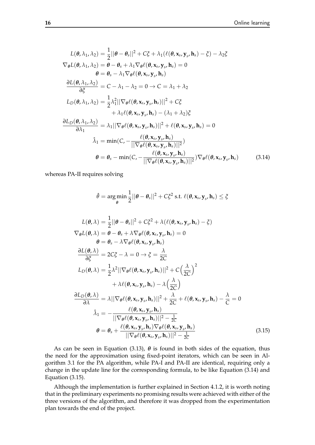$$
L(\theta, \lambda_1, \lambda_2) = \frac{1}{2} ||\theta - \theta_s||^2 + C_{\sigma}^2 + \lambda_1(\ell(\theta, \mathbf{x}_s, \mathbf{y}_s, \mathbf{h}_s) - \xi) - \lambda_2 \xi
$$
  
\n
$$
\nabla_{\theta}L(\theta, \lambda_1, \lambda_2) = \theta - \theta_s + \lambda_1 \nabla_{\theta} \ell(\theta, \mathbf{x}_s, \mathbf{y}_s, \mathbf{h}_s) = 0
$$
  
\n
$$
\theta = \theta_s - \lambda_1 \nabla_{\theta} \ell(\theta, \mathbf{x}_s, \mathbf{y}_s, \mathbf{h}_s)
$$
  
\n
$$
\frac{\partial L(\theta, \lambda_1, \lambda_2)}{\partial \xi} = C - \lambda_1 - \lambda_2 = 0 \rightarrow C = \lambda_1 + \lambda_2
$$
  
\n
$$
L_D(\theta, \lambda_1, \lambda_2) = \frac{1}{2} \lambda_1^2 ||\nabla_{\theta} \ell(\theta, \mathbf{x}_s, \mathbf{y}_s, \mathbf{h}_s)||^2 + C_{\sigma}^2
$$
  
\n
$$
+ \lambda_1 \ell(\theta, \mathbf{x}_s, \mathbf{y}_s, \mathbf{h}_s) - (\lambda_1 + \lambda_2) \xi
$$
  
\n
$$
\frac{\partial L_D(\theta, \lambda_1, \lambda_2)}{\partial \lambda_1} = \lambda_1 ||\nabla_{\theta} \ell(\theta, \mathbf{x}_s, \mathbf{y}_s, \mathbf{h}_s)||^2 + \ell(\theta, \mathbf{x}_s, \mathbf{y}_s, \mathbf{h}_s) = 0
$$
  
\n
$$
\hat{\lambda}_1 = \min(C, -\frac{\ell(\theta, \mathbf{x}_s, \mathbf{y}_s, \mathbf{h}_s)||^2}{||\nabla_{\theta} \ell(\theta, \mathbf{x}_s, \mathbf{y}_s, \mathbf{h}_s)||^2})
$$
  
\n
$$
\theta = \theta_s - \min(C, -\frac{\ell(\theta, \mathbf{x}_s, \mathbf{y}_s, \mathbf{h}_s)||^2}{||\nabla_{\theta} \ell(\theta, \mathbf{x}_s, \mathbf{y}_s, \mathbf{h}_s)||^2}) \nabla_{\theta} \ell(\theta, \mathbf{x}_s, \
$$

whereas PA-II requires solving

$$
\hat{\theta} = \underset{\theta}{\arg\min} \frac{1}{2} ||\boldsymbol{\theta} - \boldsymbol{\theta}_s||^2 + C\zeta^2 \text{ s.t. } \ell(\boldsymbol{\theta}, \mathbf{x}_s, \mathbf{y}_s, \mathbf{h}_s) \leq \zeta
$$

$$
L(\theta, \lambda) = \frac{1}{2} ||\theta - \theta_s||^2 + C\zeta^2 + \lambda(\ell(\theta, \mathbf{x}_s, \mathbf{y}_s, \mathbf{h}_s) - \zeta)
$$
  
\n
$$
\nabla_{\theta}L(\theta, \lambda) = \theta - \theta_s + \lambda \nabla_{\theta}\ell(\theta, \mathbf{x}_s, \mathbf{y}_s, \mathbf{h}_s) = 0
$$
  
\n
$$
\theta = \theta_s - \lambda \nabla_{\theta}\ell(\theta, \mathbf{x}_s, \mathbf{y}_s, \mathbf{h}_s) = 0
$$
  
\n
$$
\frac{\partial L(\theta, \lambda)}{\partial \zeta} = 2C\zeta - \lambda = 0 \rightarrow \zeta = \frac{\lambda}{2C}
$$
  
\n
$$
L_D(\theta, \lambda) = \frac{1}{2}\lambda^2 ||\nabla_{\theta}\ell(\theta, \mathbf{x}_s, \mathbf{y}_s, \mathbf{h}_s)||^2 + C\left(\frac{\lambda}{2C}\right)^2
$$
  
\n
$$
+ \lambda\ell(\theta, \mathbf{x}_s, \mathbf{y}_s, \mathbf{h}_s) - \lambda\left(\frac{\lambda}{2C}\right)
$$
  
\n
$$
\frac{\partial L_D(\theta, \lambda)}{\partial \lambda} = \lambda ||\nabla_{\theta}\ell(\theta, \mathbf{x}_s, \mathbf{y}_s, \mathbf{h}_s)||^2 + \frac{\lambda}{2C} + \ell(\theta, \mathbf{x}_s, \mathbf{y}_s, \mathbf{h}_s) - \frac{\lambda}{C} = 0
$$
  
\n
$$
\hat{\lambda}_1 = -\frac{\ell(\theta, \mathbf{x}_s, \mathbf{y}_s, \mathbf{h}_s)}{||\nabla_{\theta}\ell(\theta, \mathbf{x}_s, \mathbf{y}_s, \mathbf{h}_s)||^2 - \frac{1}{2C}}
$$
  
\n
$$
\theta = \theta_s + \frac{\ell(\theta, \mathbf{x}_s, \mathbf{y}_s, \mathbf{h}_s) \nabla_{\theta}\ell(\theta, \mathbf{x}_s, \mathbf{y}_s, \mathbf{h}_s)||^2 - \frac{1}{2C}}
$$
(3.15)

As can be seen in Equation [\(3.13\)](#page-22-4),  $\theta$  is found in both sides of the equation, thus the need for the approximation using fixed-point iterators, which can be seen in Algorithm [3.1](#page-24-0) for the PA algorithm, while PA-I and PA-II are identical, requiring only a change in the update line for the corresponding formula, to be like Equation [\(3.14\)](#page-22-4) and Equation [\(3.15\)](#page-22-4).

Although the implementation is further explained in Section [4.1.2,](#page-26-3) it is worth noting that in the preliminary experiments no promising results were achieved with either of the three versions of the algorithm, and therefore it was dropped from the experimentation plan towards the end of the project.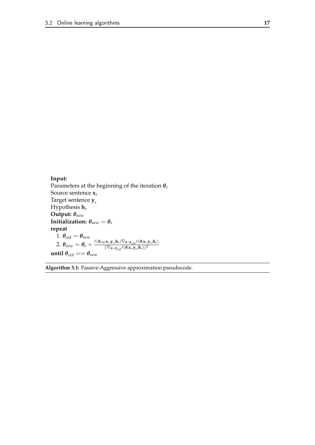#### <span id="page-24-0"></span>**Input:**

Parameters at the beginning of the iteration *θ<sup>s</sup>* Source sentence **x***<sup>s</sup>* Target sentence **y***<sup>s</sup>* Hypothesis **h***<sup>s</sup>* **Output:** *θnew* **Initialization:**  $\theta_{new} = \theta_s$ **repeat** 1.  $\theta_{old} = \theta_{new}$ 2.  $\theta_{new} = \theta_s + \frac{\ell(\theta_{old}, \mathbf{x}_s, \mathbf{y}_s, \mathbf{h}_s) \nabla_{\theta = \theta_{old}} \ell(\theta, \mathbf{x}_s, \mathbf{y}_s, \mathbf{h}_s)}{||\nabla_{\theta = \theta_{old}} \ell(\theta, \mathbf{x}_s, \mathbf{y}_s, \mathbf{h}_s)||^2}$  $||\nabla_{\boldsymbol{\theta}=\boldsymbol{\theta}_{old}} \ell(\boldsymbol{\theta},\mathbf{x}_{s},\mathbf{y}_{s},\mathbf{h}_{s})||^{2}$ **until**  $\theta_{old} == \theta_{new}$ 

**Algorithm 3.1:** Passive-Aggressive approximation pseudocode.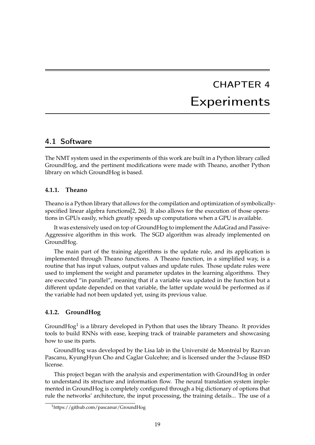## CHAPTER 4 Experiments

#### <span id="page-26-1"></span><span id="page-26-0"></span>4.1 Software

The [NMT](#page-38-6) system used in the experiments of this work are built in a Python library called GroundHog, and the pertinent modifications were made with Theano, another Python library on which GroundHog is based.

#### <span id="page-26-2"></span>**4.1.1. Theano**

Theano is a Python library that allows for the compilation and optimization of symbolicallyspecified linear algebra functions[\[2,](#page-40-11) [26\]](#page-41-10). It also allows for the execution of those operations in GPUs easily, which greatly speeds up computations when a GPU is available.

It was extensively used on top of GroundHog to implement the AdaGrad and Passive-Aggressive algorithm in this work. The [SGD](#page-38-5) algorithm was already implemented on GroundHog.

The main part of the training algorithms is the update rule, and its application is implemented through Theano functions. A Theano function, in a simplified way, is a routine that has input values, output values and update rules. Those update rules were used to implement the weight and parameter updates in the learning algorithms. They are executed "in parallel", meaning that if a variable was updated in the function but a different update depended on that variable, the latter update would be performed as if the variable had not been updated yet, using its previous value.

#### <span id="page-26-3"></span>**4.1.2. GroundHog**

Ground $Hog<sup>1</sup>$  $Hog<sup>1</sup>$  $Hog<sup>1</sup>$  is a library developed in Python that uses the library Theano. It provides tools to build [RNNs](#page-38-9) with ease, keeping track of trainable parameters and showcasing how to use its parts.

GroundHog was developed by the Lisa lab in the Université de Montréal by Razvan Pascanu, KyungHyun Cho and Caglar Gulcehre; and is licensed under the 3-clause BSD license.

This project began with the analysis and experimentation with GroundHog in order to understand its structure and information flow. The neural translation system implemented in GroundHog is completely configured through a big dictionary of options that rule the networks' architecture, the input processing, the training details... The use of a

<span id="page-26-4"></span><sup>1</sup>https://github.com/pascanur/GroundHog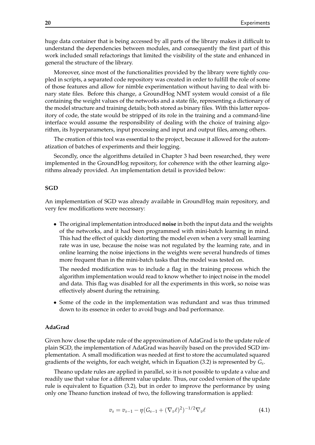huge data container that is being accessed by all parts of the library makes it difficult to understand the dependencies between modules, and consequently the first part of this work included small refactorings that limited the visibility of the state and enhanced in general the structure of the library.

Moreover, since most of the functionalities provided by the library were tightly coupled in scripts, a separated code repository was created in order to fulfill the role of some of those features and allow for nimble experimentation without having to deal with binary state files. Before this change, a GroundHog NMT system would consist of a file containing the weight values of the networks and a state file, representing a dictionary of the model structure and training details; both stored as binary files. With this latter repository of code, the state would be stripped of its role in the training and a command-line interface would assume the responsibility of dealing with the choice of training algorithm, its hyperparameters, input processing and input and output files, among others.

The creation of this tool was essential to the project, because it allowed for the automatization of batches of experiments and their logging.

Secondly, once the algorithms detailed in Chapter [3](#page-20-0) had been researched, they were implemented in the GroundHog repository, for coherence with the other learning algorithms already provided. An implementation detail is provided below:

#### **SGD**

An implementation of [SGD](#page-38-5) was already available in GroundHog main repository, and very few modifications were necessary:

• The original implementation introduced **noise** in both the input data and the weights of the networks, and it had been programmed with mini-batch learning in mind. This had the effect of quickly distorting the model even when a very small learning rate was in use, because the noise was not regulated by the learning rate, and in online learning the noise injections in the weights were several hundreds of times more frequent than in the mini-batch tasks that the model was tested on.

The needed modification was to include a flag in the training process which the algorithm implementation would read to know whether to inject noise in the model and data. This flag was disabled for all the experiments in this work, so noise was effectively absent during the retraining.

• Some of the code in the implementation was redundant and was thus trimmed down to its essence in order to avoid bugs and bad performance.

#### **AdaGrad**

Given how close the update rule of the approximation of AdaGrad is to the update rule of plain SGD, the implementation of AdaGrad was heavily based on the provided SGD implementation. A small modification was needed at first to store the accumulated squared gradients of the weights, for each weight, which in Equation [\(3.2\)](#page-21-4) is represented by *G<sup>s</sup>* .

Theano update rules are applied in parallel, so it is not possible to update a value and readily use that value for a different value update. Thus, our coded version of the update rule is equivalent to Equation [\(3.2\)](#page-21-4), but in order to improve the performance by using only one Theano function instead of two, the following transformation is applied:

$$
v_s = v_{s-1} - \eta (G_{s-1} + (\nabla_v \ell)^2)^{-1/2} \nabla_v \ell \tag{4.1}
$$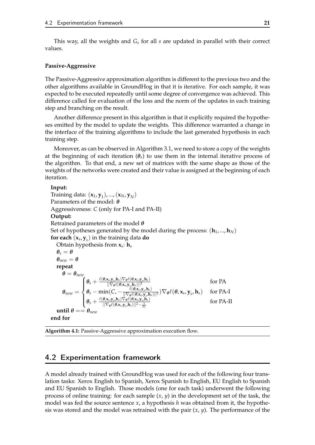This way, all the weights and *G<sup>s</sup>* for all *s* are updated in parallel with their correct values.

#### **Passive-Aggressive**

The Passive-Aggressive approximation algorithm is different to the previous two and the other algorithms available in GroundHog in that it is iterative. For each sample, it was expected to be executed repeatedly until some degree of convergence was achieved. This difference called for evaluation of the loss and the norm of the updates in each training step and branching on the result.

Another difference present in this algorithm is that it explicitly required the hypotheses emitted by the model to update the weights. This difference warranted a change in the interface of the training algorithms to include the last generated hypothesis in each training step.

Moreover, as can be observed in Algorithm [3.1,](#page-24-0) we need to store a copy of the weights at the beginning of each iteration  $(\theta_s)$  to use them in the internal iterative process of the algorithm. To that end, a new set of matrices with the same shape as those of the weights of the networks were created and their value is assigned at the beginning of each iteration.

#### <span id="page-28-1"></span>**Input:**

Training data: (**x**1, **y**<sup>1</sup> ), ...,(**x***N*, **y***<sup>N</sup>* ) Parameters of the model: *θ* Aggressiveness: *C* (only for PA-I and PA-II) **Output:** Retrained parameters of the model *θ* Set of hypotheses generated by the model during the process:  $(\mathbf{h}_1, ..., \mathbf{h}_N)$ **for each** (**x***<sup>s</sup>* , **y***<sup>s</sup>* ) in the training data **do** Obtain hypothesis from **x***<sup>s</sup>* : **h***<sup>s</sup>*  $\theta$ <sup>*s*</sup> =  $\theta$  $\theta_{new} = \theta$ **repeat**  $\theta = \theta_{new}$  $\theta$ <sub>new</sub> =  $\sqrt{ }$  $\int$  $\overline{\mathcal{L}}$  $\theta_s + \frac{\ell(\theta, \mathbf{x}_s, \mathbf{y}_s, \mathbf{h}_s) \nabla_{\theta} \ell(\theta, \mathbf{x}_s, \mathbf{y}_s, \mathbf{h}_s)}{||\nabla_{\theta} \ell(\theta, \mathbf{x}_s, \mathbf{y}_s, \mathbf{h}_s)||^2}$  $||\nabla_{\boldsymbol{\theta}} \ell(\boldsymbol{\theta}, \mathbf{x}_{s}, \mathbf{y}_{s}, \mathbf{h}_{s})||^{2}$ for PA  $\theta_s - \min(C, -\frac{\ell(\theta, \mathbf{x}_s, \mathbf{y}_s, \mathbf{h}_s)}{\|\nabla_{\theta} \ell(\theta, \mathbf{x}_s, \mathbf{y}_s, \mathbf{h}_s)}$  $\frac{\ell(\boldsymbol{\theta},\mathbf{x}_{s},\mathbf{y}_{s},\mathbf{n}_{s})}{\|\nabla_{\boldsymbol{\theta}}\ell(\boldsymbol{\theta},\mathbf{x}_{s},\mathbf{y}_{s},\mathbf{h}_{s})\|^{2}})\nabla_{\boldsymbol{\theta}}\ell(\boldsymbol{\theta},\mathbf{x}_{s},\mathbf{y}_{s})$ for PA-I  $\theta_s + \frac{\ell(\theta, \mathbf{x}_s, \mathbf{y}_s, \mathbf{h}_s) \nabla_{\theta} \ell(\theta, \mathbf{x}_s, \mathbf{y}_s, \mathbf{h}_s)}{||\nabla_{\theta} \ell(\theta, \mathbf{x}_s, \mathbf{y}_s, \mathbf{h}_s)||^2 - 1}$  $||\nabla_{\theta} \ell(\theta, \mathbf{x}_s, \mathbf{y}_s, \mathbf{h}_s)||^2 - \frac{1}{2C}$ for PA-II  $\text{until } \theta == \theta$ <sub>new</sub> **end for**

**Algorithm 4.1:** Passive-Aggressive approximation execution flow.

#### <span id="page-28-0"></span>4.2 Experimentation framework

A model already trained with GroundHog was used for each of the following four translation tasks: Xerox English to Spanish, Xerox Spanish to English, EU English to Spanish and EU Spanish to English. Those models (one for each task) underwent the following process of online training: for each sample  $(x, y)$  in the development set of the task, the model was fed the source sentence *x*, a hypothesis *h* was obtained from it, the hypothesis was stored and the model was retrained with the pair (*x*, *y*). The performance of the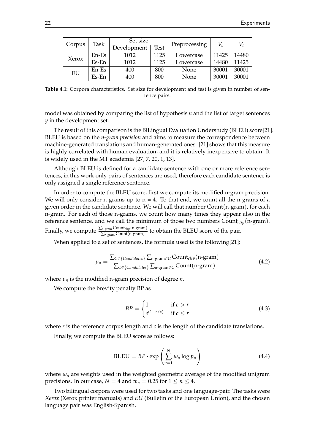<span id="page-29-0"></span>

| Corpus | Task    | Set size    |             | Preprocessing | $V_s$ |       |
|--------|---------|-------------|-------------|---------------|-------|-------|
|        |         | Development | <b>Test</b> |               |       |       |
| Xerox  | $En-Es$ | 1012        | 1125        | Lowercase     | 11425 | 14480 |
|        | Es-En   | 1012        | 1125        | Lowercase     | 14480 | 11425 |
| EU     | En-Es   | 400         | 800         | None          | 30001 | 30001 |
|        | Es-En   | 400         | 800         | None          | 30001 | 30001 |

**Table 4.1:** Corpora characteristics. Set size for development and test is given in number of sentence pairs.

model was obtained by comparing the list of hypothesis *h* and the list of target sentences *y* in the development set.

The result of this comparison is the [BiLingual Evaluation Understudy \(BLEU\)](#page-38-14) score[\[21\]](#page-41-11). [BLEU](#page-38-14) is based on the *n-gram precision* and aims to measure the correspondence between machine-generated translations and human-generated ones. [\[21\]](#page-41-11) shows that this measure is highly correlated with human evaluation, and it is relatively inexpensive to obtain. It is widely used in the [MT](#page-38-2) academia [\[27,](#page-42-0) [7,](#page-40-7) [20,](#page-41-2) [1,](#page-40-12) [13\]](#page-41-9).

Although BLEU is defined for a candidate sentence with one or more reference sentences, in this work only pairs of sentences are used, therefore each candidate sentence is only assigned a single reference sentence.

In order to compute the BLEU score, first we compute its modified n-gram precision. We will only consider n-grams up to  $n = 4$ . To that end, we count all the n-grams of a given order in the candidate sentence. We will call that number Count(n-gram), for each n-gram. For each of those n-grams, we count how many times they appear also in the reference sentence, and we call the minimum of those two numbers Count<sub>clip</sub> (n-gram). Finally, we compute  $\frac{\sum_{n-gram} Count_{clip}(n-gram)}{\sum_{n-gram} Count(n-gram)}$  to obtain the BLEU score of the pair.

When applied to a set of sentences, the formula used is the following[\[21\]](#page-41-11):

$$
p_n = \frac{\sum_{C \in \{C \text{ and } \text{idates}\}} \sum_{n\text{-gram} \in C} Count_{clip}(n\text{-gram})}{\sum_{C \in \{C \text{ and } \text{idates}\}} \sum_{n\text{-gram} \in C} Count(n\text{-gram})}
$$
(4.2)

where  $p_n$  is the modified n-gram precision of degree  $n$ .

We compute the brevity penalty BP as

$$
BP = \begin{cases} 1 & \text{if } c > r \\ e^{(1-r/c)} & \text{if } c \le r \end{cases} \tag{4.3}
$$

where  $r$  is the reference corpus length and  $c$  is the length of the candidate translations.

Finally, we compute the BLEU score as follows:

$$
BLEU = BP \cdot \exp\left(\sum_{n=1}^{N} w_n \log p_n\right)
$$
\n(4.4)

where  $w_n$  are weights used in the weighted geometric average of the modified unigram precisions. In our case,  $N = 4$  and  $w_n = 0.25$  for  $1 \le n \le 4$ .

Two bilingual corpora were used for two tasks and one language-pair. The tasks were *Xerox* (Xerox printer manuals) and *EU* (Bulletin of the European Union), and the chosen language pair was English-Spanish.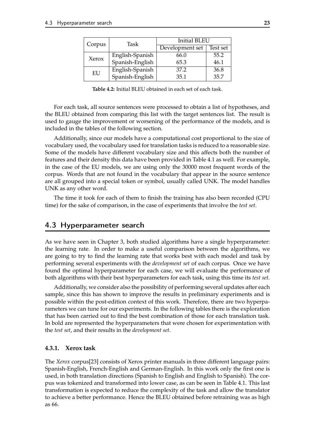<span id="page-30-2"></span>

| Corpus | Task            | <b>Initial BLEU</b> |          |  |
|--------|-----------------|---------------------|----------|--|
|        |                 | Development set     | Test set |  |
| Xerox  | English-Spanish | 66.0                | 55.2     |  |
|        | Spanish-English | 65.3                | 46.1     |  |
| EU     | English-Spanish | 37.2                | 36.8     |  |
|        | Spanish-English | 35.1                | 35.7     |  |

**Table 4.2:** Initial BLEU obtained in each set of each task.

For each task, all source sentences were processed to obtain a list of hypotheses, and the BLEU obtained from comparing this list with the target sentences list. The result is used to gauge the improvement or worsening of the performance of the models, and is included in the tables of the following section.

Additionally, since our models have a computational cost proportional to the size of vocabulary used, the vocabulary used for translation tasks is reduced to a reasonable size. Some of the models have different vocabulary size and this affects both the number of features and their density this data have been provided in Table [4.1](#page-29-0) as well. For example, in the case of the EU models, we are using only the 30000 most frequent words of the corpus. Words that are not found in the vocabulary that appear in the source sentence are all grouped into a special token or symbol, usually called UNK. The model handles UNK as any other word.

The time it took for each of them to finish the training has also been recorded (CPU time) for the sake of comparison, in the case of experiments that involve the *test set*.

#### <span id="page-30-0"></span>4.3 Hyperparameter search

As we have seen in Chapter [3,](#page-20-0) both studied algorithms have a single hyperparameter: the learning rate. In order to make a useful comparison between the algorithms, we are going to try to find the learning rate that works best with each model and task by performing several experiments with the *development set* of each corpus. Once we have found the optimal hyperparameter for each case, we will evaluate the performance of both algorithms with their best hyperparameters for each task, using this time its *test set*.

Additionally, we consider also the possibility of performing several updates after each sample, since this has shown to improve the results in preliminary experiments and is possible within the post-edition context of this work. Therefore, there are two hyperparameters we can tune for our experiments. In the following tables there is the exploration that has been carried out to find the best combination of those for each translation task. In bold are represented the hyperparameters that were chosen for experimentation with the *test set*, and their results in the *development set*.

#### <span id="page-30-1"></span>**4.3.1. Xerox task**

The *Xerox* corpus[\[23\]](#page-41-12) consists of Xerox printer manuals in three different language pairs: Spanish-English, French-English and German-English. In this work only the first one is used, in both translation directions (Spanish to English and English to Spanish). The corpus was tokenized and transformed into lower case, as can be seen in Table [4.1.](#page-29-0) This last transformation is expected to reduce the complexity of the task and allow the translator to achieve a better performance. Hence the BLEU obtained before retraining was as high as 66.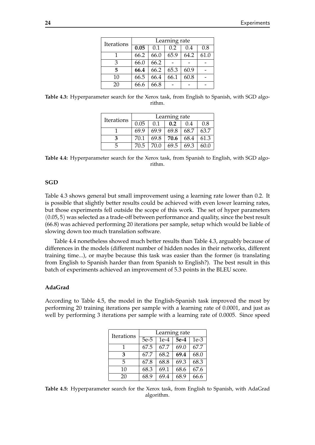<span id="page-31-0"></span>

| Iterations | Learning rate |      |      |      |      |  |  |
|------------|---------------|------|------|------|------|--|--|
|            | 0.05          | 0.1  | 0.2  | 0.4  | 0.8  |  |  |
|            | 66.2          | 66.0 | 65.9 | 64.2 | 61.0 |  |  |
| 3          | 66.0          | 66.2 |      |      |      |  |  |
| 5          | 66.4          | 66.2 | 65.3 | 60.9 |      |  |  |
| 10         | 66.5          | 66.4 | 66.1 | 60.8 |      |  |  |
| 20         | 66.6          | 66.8 |      |      |      |  |  |

<span id="page-31-1"></span>**Table 4.3:** Hyperparameter search for the Xerox task, from English to Spanish, with SGD algorithm.

| Iterations |      |      | Learning rate |       |      |
|------------|------|------|---------------|-------|------|
|            | 0.05 | 0.1  | 0.2           | (0.4) | 0.8  |
|            | 69.9 | 69.9 | 69.8          | 68.7  | 63.7 |
| З          | 70.1 | 69.8 | 70.6          | 68.4  | 61.3 |
| h          | 70.5 | 70.0 | 69.5          | 69.3  | 60.0 |

**Table 4.4:** Hyperparameter search for the Xerox task, from Spanish to English, with SGD algorithm.

#### **SGD**

Table [4.3](#page-31-0) shows general but small improvement using a learning rate lower than 0.2. It is possible that slightly better results could be achieved with even lower learning rates, but those experiments fell outside the scope of this work. The set of hyper parameters (0.05, 5) was selected as a trade-off between performance and quality, since the best result (66.8) was achieved performing 20 iterations per sample, setup which would be liable of slowing down too much translation software.

Table [4.4](#page-31-1) nonetheless showed much better results than Table [4.3,](#page-31-0) arguably because of differences in the models (different number of hidden nodes in their networks, different training time...), or maybe because this task was easier than the former (is translating from English to Spanish harder than from Spanish to English?). The best result in this batch of experiments achieved an improvement of 5.3 points in the BLEU score.

#### **AdaGrad**

<span id="page-31-2"></span>According to Table [4.5,](#page-31-2) the model in the English-Spanish task improved the most by performing 20 training iterations per sample with a learning rate of 0.0001, and just as well by performing 3 iterations per sample with a learning rate of 0.0005. Since speed

| Iterations | Learning rate |        |        |        |  |  |
|------------|---------------|--------|--------|--------|--|--|
|            | $5e-5$        | $1e-4$ | $5e-4$ | $1e-3$ |  |  |
|            | 67.5          | 67.7   | 69.0   | 67.7   |  |  |
| 3          | 67.7          | 68.2   | 69.4   | 68.0   |  |  |
| 5          | 67.8          | 68.8   | 69.3   | 68.3   |  |  |
| 10         | 68.3          | 69.1   | 68.6   | 67.6   |  |  |
| 20         | 68.9          | 69.4   | 68.9   | 66.6   |  |  |

**Table 4.5:** Hyperparameter search for the Xerox task, from English to Spanish, with AdaGrad algorithm.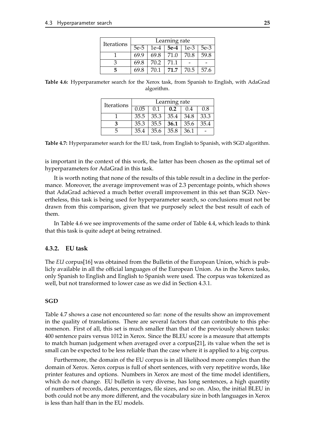|            | Learning rate |        |        |      |        |  |
|------------|---------------|--------|--------|------|--------|--|
| Iterations | $5e-5$        | $1e-4$ | $5e-4$ | 1e-3 | $5e-3$ |  |
|            | 69.9          | 69.8   | 71.0   | 70.8 | 59.8   |  |
|            | 69.8          | 70.2   | 71.1   |      |        |  |
|            | 69.8          | 70.1   | 71.7   | 70.5 | 57.6   |  |

<span id="page-32-2"></span><span id="page-32-1"></span>**Table 4.6:** Hyperparameter search for the Xerox task, from Spanish to English, with AdaGrad algorithm.

| Iterations |      |     | Learning rate        |       |      |
|------------|------|-----|----------------------|-------|------|
|            | 0.05 | 0.1 | $\vert 0.2 \vert$    | (0.4) | 0.8  |
|            | 35.5 |     | $35.3$   35.4   34.8 |       | 33.3 |
|            | 35.3 |     | 35.5 36.1 35.6       |       | 35.4 |
|            | 35.4 |     | $35.6$   35.8        | 36.1  |      |

**Table 4.7:** Hyperparameter search for the EU task, from English to Spanish, with SGD algorithm.

is important in the context of this work, the latter has been chosen as the optimal set of hyperparameters for AdaGrad in this task.

It is worth noting that none of the results of this table result in a decline in the performance. Moreover, the average improvement was of 2.3 percentage points, which shows that AdaGrad achieved a much better overall improvement in this set than SGD. Nevertheless, this task is being used for hyperparameter search, so conclusions must not be drawn from this comparison, given that we purposely select the best result of each of them.

In Table [4.6](#page-32-1) we see improvements of the same order of Table [4.4,](#page-31-1) which leads to think that this task is quite adept at being retrained.

#### <span id="page-32-0"></span>**4.3.2. EU task**

The *EU* corpus[\[16\]](#page-41-13) was obtained from the Bulletin of the European Union, which is publicly available in all the official languages of the European Union. As in the Xerox tasks, only Spanish to English and English to Spanish were used. The corpus was tokenized as well, but not transformed to lower case as we did in Section [4.3.1.](#page-30-1)

#### **SGD**

Table [4.7](#page-32-2) shows a case not encountered so far: none of the results show an improvement in the quality of translations. There are several factors that can contribute to this phenomenon. First of all, this set is much smaller than that of the previously shown tasks: 400 sentence pairs versus 1012 in Xerox. Since the BLEU score is a measure that attempts to match human judgement when averaged over a corpus[\[21\]](#page-41-11), its value when the set is small can be expected to be less reliable than the case where it is applied to a big corpus.

Furthermore, the domain of the EU corpus is in all likelihood more complex than the domain of Xerox. Xerox corpus is full of short sentences, with very repetitive words, like printer features and options. Numbers in Xerox are most of the time model identifiers, which do not change. EU bulletin is very diverse, has long sentences, a high quantity of numbers of records, dates, percentages, file sizes, and so on. Also, the initial BLEU in both could not be any more different, and the vocabulary size in both languages in Xerox is less than half than in the EU models.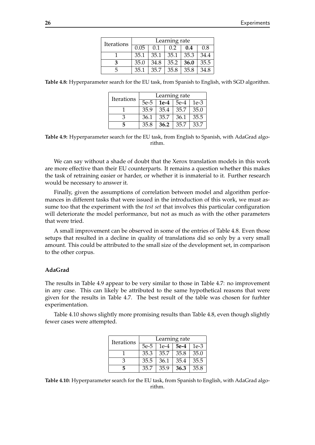| Iterations | Learning rate |      |      |      |      |  |
|------------|---------------|------|------|------|------|--|
|            | 0.05          | 0.1  | 0.2  | 0.4  | 0.8  |  |
|            | 35.1          | 35.1 | 35.1 | 35.3 | 34.4 |  |
|            | 35.0          | 34.8 | 35.2 | 36.0 | 35.5 |  |
|            | 35.1          | 35.7 | 35.8 | 35.8 | 34.8 |  |

<span id="page-33-1"></span><span id="page-33-0"></span>**Table 4.8:** Hyperparameter search for the EU task, from Spanish to English, with SGD algorithm.

| Iterations | Learning rate |        |        |        |
|------------|---------------|--------|--------|--------|
|            | $5e-5$        | $1e-4$ | $5e-4$ | $1e-3$ |
|            | 35.9          | 35.4   | 35.7   | 35.0   |
| 3          | 36.1          | 35.7   | 36.1   | 35.5   |
|            | 35.8          | 36.2   | 35.7   | 33.7   |

**Table 4.9:** Hyperparameter search for the EU task, from English to Spanish, with AdaGrad algorithm.

We can say without a shade of doubt that the Xerox translation models in this work are more effective than their EU counterparts. It remains a question whether this makes the task of retraining easier or harder, or whether it is inmaterial to it. Further research would be necessary to answer it.

Finally, given the assumptions of correlation between model and algorithm performances in different tasks that were issued in the introduction of this work, we must assume too that the experiment with the *test set* that involves this particular configuration will deteriorate the model performance, but not as much as with the other parameters that were tried.

A small improvement can be observed in some of the entries of Table [4.8.](#page-33-0) Even those setups that resulted in a decline in quality of translations did so only by a very small amount. This could be attributed to the small size of the development set, in comparison to the other corpus.

#### **AdaGrad**

The results in Table [4.9](#page-33-1) appear to be very similar to those in Table [4.7:](#page-32-2) no improvement in any case. This can likely be attributed to the same hypothetical reasons that were given for the results in Table [4.7.](#page-32-2) The best result of the table was chosen for furhter experimentation.

<span id="page-33-2"></span>Table [4.10](#page-33-2) shows slightly more promising results than Table [4.8,](#page-33-0) even though slightly fewer cases were attempted.

| Iterations | Learning rate |        |        |        |
|------------|---------------|--------|--------|--------|
|            | $5e-5$        | $1e-4$ | $5e-4$ | $1e-3$ |
|            | 35.3          | 35.7   | 35.8   | 35.0   |
| ′- م       | 35.5          | 36.1   | 35.4   | 35.5   |
|            | 35.7          | 35.9   | 36.3   | 35.8   |

**Table 4.10:** Hyperparameter search for the EU task, from Spanish to English, with AdaGrad algorithm.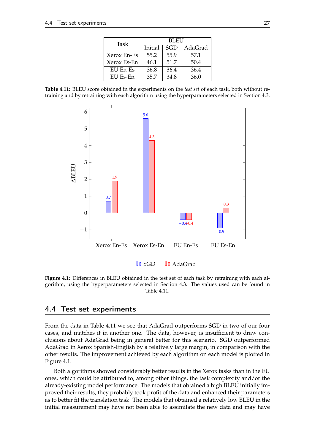| Task        | BL EU   |      |         |  |
|-------------|---------|------|---------|--|
|             | Initial | SGD  | AdaGrad |  |
| Xerox En-Es | 55.2    | 55.9 | 57.1    |  |
| Xerox Es-En | 46.1    | 51.7 | 50.4    |  |
| EU En-Es    | 36.8    | 36.4 | 36.4    |  |
| EU Es-En    | 35.7    | 34.8 | 36.0    |  |

<span id="page-34-2"></span><span id="page-34-1"></span>**Table 4.11:** BLEU score obtained in the experiments on the *test set* of each task, both without retraining and by retraining with each algorithm using the hyperparameters selected in Section [4.3.](#page-30-0)



**ISGD II** AdaGrad

**Figure 4.1:** Differences in BLEU obtained in the test set of each task by retraining with each algorithm, using the hyperparameters selected in Section [4.3.](#page-30-0) The values used can be found in Table [4.11.](#page-34-2)

#### <span id="page-34-0"></span>4.4 Test set experiments

From the data in Table [4.11](#page-34-2) we see that AdaGrad outperforms SGD in two of our four cases, and matches it in another one. The data, however, is insufficient to draw conclusions about AdaGrad being in general better for this scenario. SGD outperformed AdaGrad in Xerox Spanish-English by a relatively large margin, in comparison with the other results. The improvement achieved by each algorithm on each model is plotted in Figure [4.1.](#page-34-1)

Both algorithms showed considerably better results in the Xerox tasks than in the EU ones, which could be attributed to, among other things, the task complexity and/or the already-existing model performance. The models that obtained a high BLEU initially improved their results, they probably took profit of the data and enhanced their parameters as to better fit the translation task. The models that obtained a relatively low BLEU in the initial measurement may have not been able to assimilate the new data and may have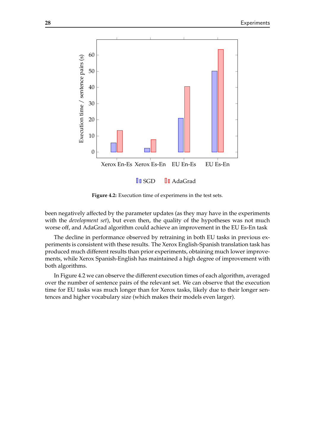<span id="page-35-0"></span>

**Figure 4.2:** Execution time of experimens in the test sets.

been negatively affected by the parameter updates (as they may have in the experiments with the *development set*), but even then, the quality of the hypotheses was not much worse off, and AdaGrad algorithm could achieve an improvement in the EU Es-En task

The decline in performance observed by retraining in both EU tasks in previous experiments is consistent with these results. The Xerox English-Spanish translation task has produced much different results than prior experiments, obtaining much lower improvements, while Xerox Spanish-English has maintained a high degree of improvement with both algorithms.

In Figure [4.2](#page-35-0) we can observe the different execution times of each algorithm, averaged over the number of sentence pairs of the relevant set. We can observe that the execution time for EU tasks was much longer than for Xerox tasks, likely due to their longer sentences and higher vocabulary size (which makes their models even larger).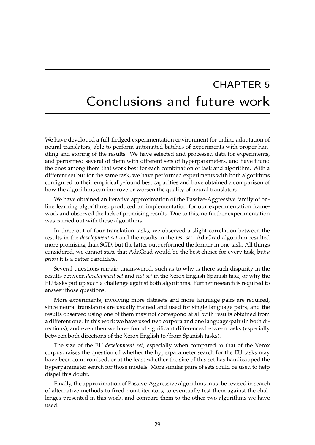# <span id="page-36-0"></span>CHAPTER 5 Conclusions and future work

We have developed a full-fledged experimentation environment for online adaptation of neural translators, able to perform automated batches of experiments with proper handling and storing of the results. We have selected and processed data for experiments, and performed several of them with different sets of hyperparameters, and have found the ones among them that work best for each combination of task and algorithm. With a different set but for the same task, we have performed experiments with both algorithms configured to their empirically-found best capacities and have obtained a comparison of how the algorithms can improve or worsen the quality of neural translators.

We have obtained an iterative approximation of the Passive-Aggressive family of online learning algorithms, produced an implementation for our experimentation framework and observed the lack of promising results. Due to this, no further experimentation was carried out with those algorithms.

In three out of four translation tasks, we observed a slight correlation between the results in the *development set* and the results in the *test set*. AdaGrad algorithm resulted more promising than SGD, but the latter outperformed the former in one task. All things considered, we cannot state that AdaGrad would be the best choice for every task, but *a priori* it is a better candidate.

Several questions remain unanswered, such as to why is there such disparity in the results between *development set* and *test set* in the Xerox English-Spanish task, or why the EU tasks put up such a challenge against both algorithms. Further research is required to answer those questions.

More experiments, involving more datasets and more language pairs are required, since neural translators are usually trained and used for single language pairs, and the results observed using one of them may not correspond at all with results obtained from a different one. In this work we have used two corpora and one language-pair (in both directions), and even then we have found significant differences between tasks (especially between both directions of the Xerox English to/from Spanish tasks).

The size of the EU *development set*, especially when compared to that of the Xerox corpus, raises the question of whether the hyperparameter search for the EU tasks may have been compromised, or at the least whether the size of this set has handicapped the hyperparameter search for those models. More similar pairs of sets could be used to help dispel this doubt.

Finally, the approximation of Passive-Aggressive algorithms must be revised in search of alternative methods to fixed point iterators, to eventually test them against the challenges presented in this work, and compare them to the other two algorithms we have used.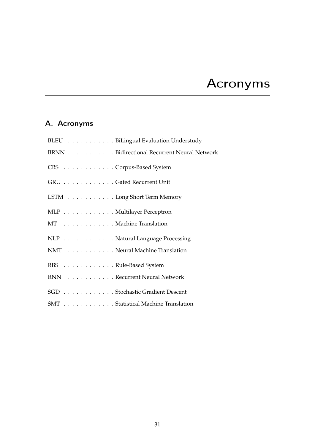# Acronyms

### <span id="page-38-1"></span><span id="page-38-0"></span>A. Acronyms

<span id="page-38-14"></span><span id="page-38-13"></span><span id="page-38-12"></span><span id="page-38-11"></span><span id="page-38-10"></span><span id="page-38-9"></span><span id="page-38-8"></span><span id="page-38-7"></span><span id="page-38-6"></span><span id="page-38-5"></span><span id="page-38-4"></span><span id="page-38-3"></span><span id="page-38-2"></span>

| BLEU BiLingual Evaluation Understudy        |
|---------------------------------------------|
| BRNN Bidirectional Recurrent Neural Network |
| CBS Corpus-Based System                     |
| GRU Gated Recurrent Unit                    |
| LSTM Long Short Term Memory                 |
| MLP Multilayer Perceptron                   |
| MT Machine Translation                      |
| NLP Natural Language Processing             |
| NMT Neural Machine Translation              |
| RBS Rule-Based System                       |
| RNN Recurrent Neural Network                |
| SGD Stochastic Gradient Descent             |
| SMT Statistical Machine Translation         |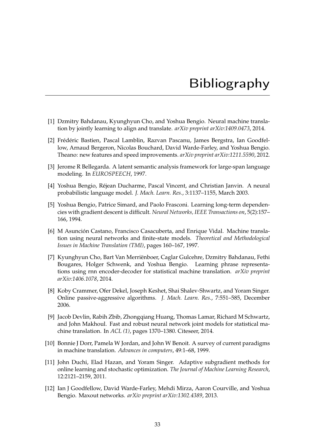# Bibliography

- <span id="page-40-12"></span><span id="page-40-0"></span>[1] Dzmitry Bahdanau, Kyunghyun Cho, and Yoshua Bengio. Neural machine translation by jointly learning to align and translate. *arXiv preprint arXiv:1409.0473*, 2014.
- <span id="page-40-11"></span>[2] Frédéric Bastien, Pascal Lamblin, Razvan Pascanu, James Bergstra, Ian Goodfellow, Arnaud Bergeron, Nicolas Bouchard, David Warde-Farley, and Yoshua Bengio. Theano: new features and speed improvements. *arXiv preprint arXiv:1211.5590*, 2012.
- <span id="page-40-4"></span>[3] Jerome R Bellegarda. A latent semantic analysis framework for large-span language modeling. In *EUROSPEECH*, 1997.
- <span id="page-40-5"></span>[4] Yoshua Bengio, Réjean Ducharme, Pascal Vincent, and Christian Janvin. A neural probabilistic language model. *J. Mach. Learn. Res.*, 3:1137–1155, March 2003.
- <span id="page-40-6"></span>[5] Yoshua Bengio, Patrice Simard, and Paolo Frasconi. Learning long-term dependencies with gradient descent is difficult. *Neural Networks, IEEE Transactions on*, 5(2):157– 166, 1994.
- <span id="page-40-3"></span>[6] M Asunción Castano, Francisco Casacuberta, and Enrique Vidal. Machine translation using neural networks and finite-state models. *Theoretical and Methodological Issues in Machine Translation (TMI)*, pages 160–167, 1997.
- <span id="page-40-7"></span>[7] Kyunghyun Cho, Bart Van Merriënboer, Caglar Gulcehre, Dzmitry Bahdanau, Fethi Bougares, Holger Schwenk, and Yoshua Bengio. Learning phrase representations using rnn encoder-decoder for statistical machine translation. *arXiv preprint arXiv:1406.1078*, 2014.
- <span id="page-40-10"></span>[8] Koby Crammer, Ofer Dekel, Joseph Keshet, Shai Shalev-Shwartz, and Yoram Singer. Online passive-aggressive algorithms. *J. Mach. Learn. Res.*, 7:551–585, December 2006.
- <span id="page-40-2"></span>[9] Jacob Devlin, Rabih Zbib, Zhongqiang Huang, Thomas Lamar, Richard M Schwartz, and John Makhoul. Fast and robust neural network joint models for statistical machine translation. In *ACL (1)*, pages 1370–1380. Citeseer, 2014.
- <span id="page-40-1"></span>[10] Bonnie J Dorr, Pamela W Jordan, and John W Benoit. A survey of current paradigms in machine translation. *Advances in computers*, 49:1–68, 1999.
- <span id="page-40-9"></span>[11] John Duchi, Elad Hazan, and Yoram Singer. Adaptive subgradient methods for online learning and stochastic optimization. *The Journal of Machine Learning Research*, 12:2121–2159, 2011.
- <span id="page-40-8"></span>[12] Ian J Goodfellow, David Warde-Farley, Mehdi Mirza, Aaron Courville, and Yoshua Bengio. Maxout networks. *arXiv preprint arXiv:1302.4389*, 2013.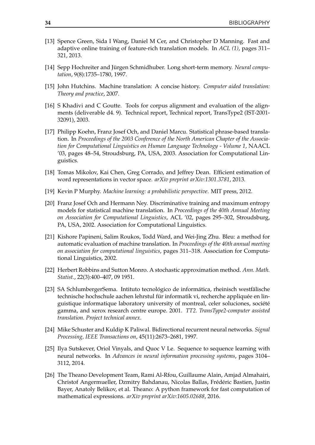- <span id="page-41-9"></span>[13] Spence Green, Sida I Wang, Daniel M Cer, and Christopher D Manning. Fast and adaptive online training of feature-rich translation models. In *ACL (1)*, pages 311– 321, 2013.
- <span id="page-41-4"></span>[14] Sepp Hochreiter and Jürgen Schmidhuber. Long short-term memory. *Neural computation*, 9(8):1735–1780, 1997.
- <span id="page-41-0"></span>[15] John Hutchins. Machine translation: A concise history. *Computer aided translation: Theory and practice*, 2007.
- <span id="page-41-13"></span>[16] S Khadivi and C Goutte. Tools for corpus alignment and evaluation of the alignments (deliverable d4. 9). Technical report, Technical report, TransType2 (IST-2001- 32091), 2003.
- <span id="page-41-1"></span>[17] Philipp Koehn, Franz Josef Och, and Daniel Marcu. Statistical phrase-based translation. In *Proceedings of the 2003 Conference of the North American Chapter of the Association for Computational Linguistics on Human Language Technology - Volume 1*, NAACL '03, pages 48–54, Stroudsburg, PA, USA, 2003. Association for Computational Linguistics.
- <span id="page-41-3"></span>[18] Tomas Mikolov, Kai Chen, Greg Corrado, and Jeffrey Dean. Efficient estimation of word representations in vector space. *arXiv preprint arXiv:1301.3781*, 2013.
- <span id="page-41-7"></span>[19] Kevin P Murphy. *Machine learning: a probabilistic perspective*. MIT press, 2012.
- <span id="page-41-2"></span>[20] Franz Josef Och and Hermann Ney. Discriminative training and maximum entropy models for statistical machine translation. In *Proceedings of the 40th Annual Meeting on Association for Computational Linguistics*, ACL '02, pages 295–302, Stroudsburg, PA, USA, 2002. Association for Computational Linguistics.
- <span id="page-41-11"></span>[21] Kishore Papineni, Salim Roukos, Todd Ward, and Wei-Jing Zhu. Bleu: a method for automatic evaluation of machine translation. In *Proceedings of the 40th annual meeting on association for computational linguistics*, pages 311–318. Association for Computational Linguistics, 2002.
- <span id="page-41-8"></span>[22] Herbert Robbins and Sutton Monro. A stochastic approximation method. *Ann. Math. Statist.*, 22(3):400–407, 09 1951.
- <span id="page-41-12"></span>[23] SA SchlumbergerSema. Intituto tecnológico de informática, rheinisch westfälische technische hochschule aachen lehrstul für informatik vi, recherche appliquée en linguistique informatique laboratory university of montreal, celer soluciones, société gamma, and xerox research centre europe. 2001. *TT2. TransType2-computer assisted translation. Project technical annex*.
- <span id="page-41-6"></span>[24] Mike Schuster and Kuldip K Paliwal. Bidirectional recurrent neural networks. *Signal Processing, IEEE Transactions on*, 45(11):2673–2681, 1997.
- <span id="page-41-5"></span>[25] Ilya Sutskever, Oriol Vinyals, and Quoc V Le. Sequence to sequence learning with neural networks. In *Advances in neural information processing systems*, pages 3104– 3112, 2014.
- <span id="page-41-10"></span>[26] The Theano Development Team, Rami Al-Rfou, Guillaume Alain, Amjad Almahairi, Christof Angermueller, Dzmitry Bahdanau, Nicolas Ballas, Frédéric Bastien, Justin Bayer, Anatoly Belikov, et al. Theano: A python framework for fast computation of mathematical expressions. *arXiv preprint arXiv:1605.02688*, 2016.